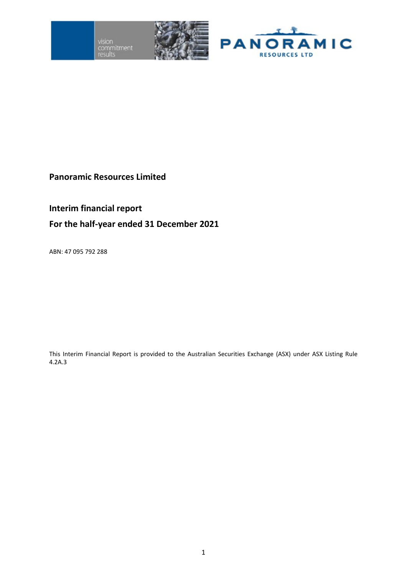vision<br>commitment





## **Panoramic Resources Limited**

# **Interim financial report**

# **For the half-year ended 31 December 2021**

ABN: 47 095 792 288

This Interim Financial Report is provided to the Australian Securities Exchange (ASX) under ASX Listing Rule 4.2A.3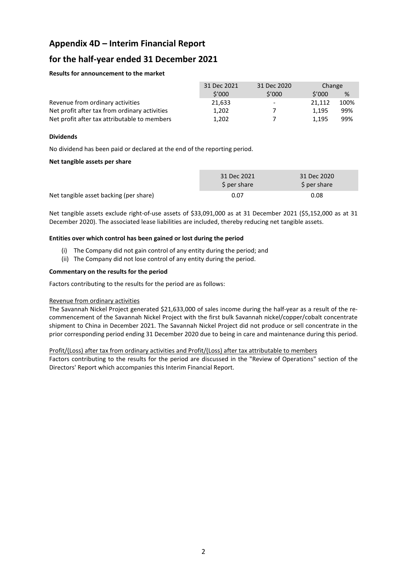## **Appendix 4D – Interim Financial Report**

## **for the half-year ended 31 December 2021**

#### **Results for announcement to the market**

|                                               | 31 Dec 2021 | 31 Dec 2020       | Change |      |
|-----------------------------------------------|-------------|-------------------|--------|------|
|                                               | 5'000       | 5'000             | 5'000  | %    |
| Revenue from ordinary activities              | 21,633      | $\qquad \qquad -$ | 21.112 | 100% |
| Net profit after tax from ordinary activities | 1,202       |                   | 1.195  | 99%  |
| Net profit after tax attributable to members  | 1.202       |                   | 1.195  | 99%  |

#### **Dividends**

No dividend has been paid or declared at the end of the reporting period.

#### **Net tangible assets per share**

|                                        | 31 Dec 2021<br>\$ per share | 31 Dec 2020<br>\$ per share |
|----------------------------------------|-----------------------------|-----------------------------|
| Net tangible asset backing (per share) | 0.07                        | 0.08                        |

Net tangible assets exclude right-of-use assets of \$33,091,000 as at 31 December 2021 (\$5,152,000 as at 31 December 2020). The associated lease liabilities are included, thereby reducing net tangible assets.

#### **Entities over which control has been gained or lost during the period**

- (i) The Company did not gain control of any entity during the period; and
- (ii) The Company did not lose control of any entity during the period.

#### **Commentary on the results for the period**

Factors contributing to the results for the period are as follows:

#### Revenue from ordinary activities

The Savannah Nickel Project generated \$21,633,000 of sales income during the half-year as a result of the recommencement of the Savannah Nickel Project with the first bulk Savannah nickel/copper/cobalt concentrate shipment to China in December 2021. The Savannah Nickel Project did not produce or sell concentrate in the prior corresponding period ending 31 December 2020 due to being in care and maintenance during this period.

#### Profit/(Loss) after tax from ordinary activities and Profit/(Loss) after tax attributable to members

Factors contributing to the results for the period are discussed in the "Review of Operations" section of the Directors' Report which accompanies this Interim Financial Report.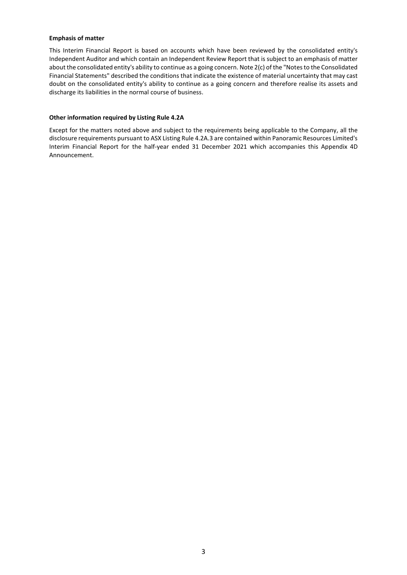#### **Emphasis of matter**

This Interim Financial Report is based on accounts which have been reviewed by the consolidated entity's Independent Auditor and which contain an Independent Review Report that is subject to an emphasis of matter about the consolidated entity's ability to continue as a going concern. Note 2(c) ofthe "Notes to the Consolidated Financial Statements" described the conditions that indicate the existence of material uncertainty that may cast doubt on the consolidated entity's ability to continue as a going concern and therefore realise its assets and discharge its liabilities in the normal course of business.

#### **Other information required by Listing Rule 4.2A**

Except for the matters noted above and subject to the requirements being applicable to the Company, all the disclosure requirements pursuant to ASX Listing Rule 4.2A.3 are contained within Panoramic Resources Limited's Interim Financial Report for the half-year ended 31 December 2021 which accompanies this Appendix 4D Announcement.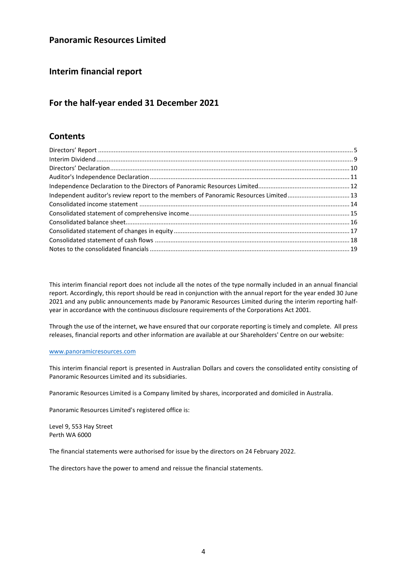## **Panoramic Resources Limited**

## **Interim financial report**

## **For the half-year ended 31 December 2021**

## **Contents**

| Independent auditor's review report to the members of Panoramic Resources Limited 13 |  |
|--------------------------------------------------------------------------------------|--|
|                                                                                      |  |
|                                                                                      |  |
|                                                                                      |  |
|                                                                                      |  |
|                                                                                      |  |
|                                                                                      |  |

This interim financial report does not include all the notes of the type normally included in an annual financial report. Accordingly, this report should be read in conjunction with the annual report for the year ended 30 June 2021 and any public announcements made by Panoramic Resources Limited during the interim reporting halfyear in accordance with the continuous disclosure requirements of the Corporations Act 2001.

Through the use of the internet, we have ensured that our corporate reporting is timely and complete. All press releases, financial reports and other information are available at our Shareholders' Centre on our website:

#### [www.panoramicresources.com](http://www.panoramicresources.com/)

This interim financial report is presented in Australian Dollars and covers the consolidated entity consisting of Panoramic Resources Limited and its subsidiaries.

Panoramic Resources Limited is a Company limited by shares, incorporated and domiciled in Australia.

Panoramic Resources Limited's registered office is:

Level 9, 553 Hay Street Perth WA 6000

The financial statements were authorised for issue by the directors on 24 February 2022.

The directors have the power to amend and reissue the financial statements.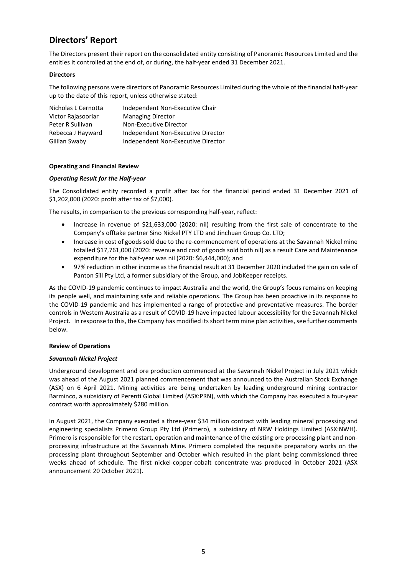# <span id="page-4-0"></span>**Directors' Report**

The Directors present their report on the consolidated entity consisting of Panoramic Resources Limited and the entities it controlled at the end of, or during, the half-year ended 31 December 2021.

### **Directors**

The following persons were directors of Panoramic Resources Limited during the whole of the financial half-year up to the date of this report, unless otherwise stated:

| Nicholas L Cernotta | Independent Non-Executive Chair    |
|---------------------|------------------------------------|
| Victor Rajasooriar  | <b>Managing Director</b>           |
| Peter R Sullivan    | Non-Executive Director             |
| Rebecca J Hayward   | Independent Non-Executive Director |
| Gillian Swaby       | Independent Non-Executive Director |

#### **Operating and Financial Review**

### *Operating Result for the Half-year*

The Consolidated entity recorded a profit after tax for the financial period ended 31 December 2021 of \$1,202,000 (2020: profit after tax of \$7,000).

The results, in comparison to the previous corresponding half-year, reflect:

- Increase in revenue of \$21,633,000 (2020: nil) resulting from the first sale of concentrate to the Company's offtake partner Sino Nickel PTY LTD and Jinchuan Group Co. LTD;
- Increase in cost of goods sold due to the re-commencement of operations at the Savannah Nickel mine totalled \$17,761,000 (2020: revenue and cost of goods sold both nil) as a result Care and Maintenance expenditure for the half-year was nil (2020: \$6,444,000); and
- 97% reduction in other income as the financial result at 31 December 2020 included the gain on sale of Panton Sill Pty Ltd, a former subsidiary of the Group, and JobKeeper receipts.

As the COVID-19 pandemic continues to impact Australia and the world, the Group's focus remains on keeping its people well, and maintaining safe and reliable operations. The Group has been proactive in its response to the COVID-19 pandemic and has implemented a range of protective and preventative measures. The border controls in Western Australia as a result of COVID-19 have impacted labour accessibility for the Savannah Nickel Project. In response to this, the Company has modified its short term mine plan activities, see further comments below.

#### **Review of Operations**

#### *Savannah Nickel Project*

Underground development and ore production commenced at the Savannah Nickel Project in July 2021 which was ahead of the August 2021 planned commencement that was announced to the Australian Stock Exchange (ASX) on 6 April 2021. Mining activities are being undertaken by leading underground mining contractor Barminco, a subsidiary of Perenti Global Limited (ASX:PRN), with which the Company has executed a four-year contract worth approximately \$280 million.

In August 2021, the Company executed a three-year \$34 million contract with leading mineral processing and engineering specialists Primero Group Pty Ltd (Primero), a subsidiary of NRW Holdings Limited (ASX:NWH). Primero is responsible for the restart, operation and maintenance of the existing ore processing plant and nonprocessing infrastructure at the Savannah Mine. Primero completed the requisite preparatory works on the processing plant throughout September and October which resulted in the plant being commissioned three weeks ahead of schedule. The first nickel-copper-cobalt concentrate was produced in October 2021 (ASX announcement 20 October 2021).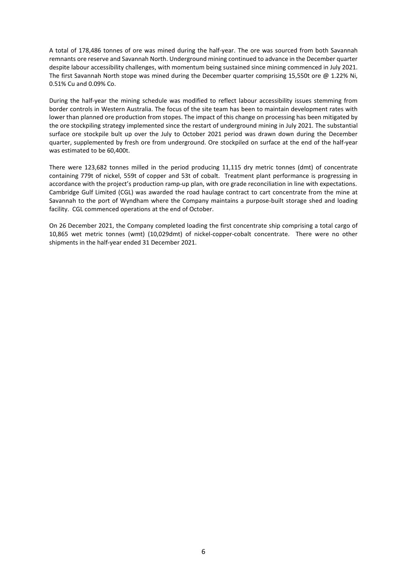A total of 178,486 tonnes of ore was mined during the half-year. The ore was sourced from both Savannah remnants ore reserve and Savannah North. Underground mining continued to advance in the December quarter despite labour accessibility challenges, with momentum being sustained since mining commenced in July 2021. The first Savannah North stope was mined during the December quarter comprising 15,550t ore @ 1.22% Ni, 0.51% Cu and 0.09% Co.

During the half-year the mining schedule was modified to reflect labour accessibility issues stemming from border controls in Western Australia. The focus of the site team has been to maintain development rates with lower than planned ore production from stopes. The impact of this change on processing has been mitigated by the ore stockpiling strategy implemented since the restart of underground mining in July 2021. The substantial surface ore stockpile bult up over the July to October 2021 period was drawn down during the December quarter, supplemented by fresh ore from underground. Ore stockpiled on surface at the end of the half-year was estimated to be 60,400t.

There were 123,682 tonnes milled in the period producing 11,115 dry metric tonnes (dmt) of concentrate containing 779t of nickel, 559t of copper and 53t of cobalt. Treatment plant performance is progressing in accordance with the project's production ramp-up plan, with ore grade reconciliation in line with expectations. Cambridge Gulf Limited (CGL) was awarded the road haulage contract to cart concentrate from the mine at Savannah to the port of Wyndham where the Company maintains a purpose-built storage shed and loading facility. CGL commenced operations at the end of October.

On 26 December 2021, the Company completed loading the first concentrate ship comprising a total cargo of 10,865 wet metric tonnes (wmt) (10,029dmt) of nickel-copper-cobalt concentrate. There were no other shipments in the half-year ended 31 December 2021.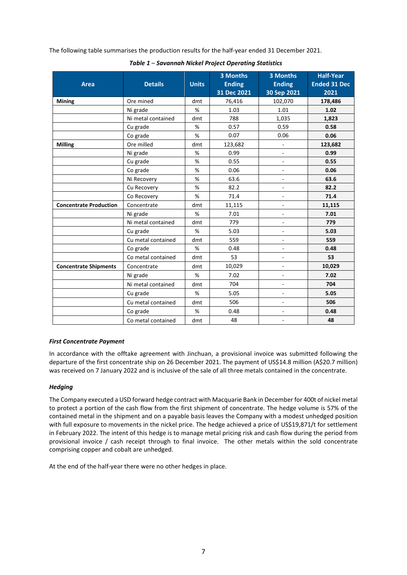The following table summarises the production results for the half-year ended 31 December 2021.

| <b>Area</b>                   | <b>Details</b>     | <b>Units</b> | <b>3 Months</b><br><b>Ending</b><br>31 Dec 2021 | <b>3 Months</b><br><b>Ending</b><br>30 Sep 2021 | <b>Half-Year</b><br><b>Ended 31 Dec</b><br>2021 |
|-------------------------------|--------------------|--------------|-------------------------------------------------|-------------------------------------------------|-------------------------------------------------|
| <b>Mining</b>                 | Ore mined          | dmt          | 76,416                                          | 102,070                                         | 178,486                                         |
|                               | Ni grade           | %            | 1.03                                            | 1.01                                            | 1.02                                            |
|                               | Ni metal contained | dmt          | 788                                             | 1,035                                           | 1,823                                           |
|                               | Cu grade           | %            | 0.57                                            | 0.59                                            | 0.58                                            |
|                               | Co grade           | %            | 0.07                                            | 0.06                                            | 0.06                                            |
| <b>Milling</b>                | Ore milled         | dmt          | 123,682                                         | ÷,                                              | 123,682                                         |
|                               | Ni grade           | %            | 0.99                                            | $\blacksquare$                                  | 0.99                                            |
|                               | Cu grade           | %            | 0.55                                            | $\blacksquare$                                  | 0.55                                            |
|                               | Co grade           | %            | 0.06                                            | $\blacksquare$                                  | 0.06                                            |
|                               | Ni Recovery        | %            | 63.6                                            | -                                               | 63.6                                            |
|                               | Cu Recovery        | %            | 82.2                                            | $\blacksquare$                                  | 82.2                                            |
|                               | Co Recovery        | %            | 71.4                                            | $\blacksquare$                                  | 71.4                                            |
| <b>Concentrate Production</b> | Concentrate        | dmt          | 11,115                                          | $\overline{a}$                                  | 11,115                                          |
|                               | Ni grade           | %            | 7.01                                            | ÷,                                              | 7.01                                            |
|                               | Ni metal contained | dmt          | 779                                             | $\blacksquare$                                  | 779                                             |
|                               | Cu grade           | %            | 5.03                                            | ä,                                              | 5.03                                            |
|                               | Cu metal contained | dmt          | 559                                             | $\blacksquare$                                  | 559                                             |
|                               | Co grade           | %            | 0.48                                            | $\blacksquare$                                  | 0.48                                            |
|                               | Co metal contained | dmt          | 53                                              | $\blacksquare$                                  | 53                                              |
| <b>Concentrate Shipments</b>  | Concentrate        | dmt          | 10,029                                          | $\overline{\phantom{0}}$                        | 10,029                                          |
|                               | Ni grade           | %            | 7.02                                            | ÷,                                              | 7.02                                            |
|                               | Ni metal contained | dmt          | 704                                             | $\blacksquare$                                  | 704                                             |
|                               | Cu grade           | %            | 5.05                                            | ÷,                                              | 5.05                                            |
|                               | Cu metal contained | dmt          | 506                                             | ÷,                                              | 506                                             |
|                               | Co grade           | %            | 0.48                                            | $\blacksquare$                                  | 0.48                                            |
|                               | Co metal contained | dmt          | 48                                              | $\blacksquare$                                  | 48                                              |

*Table 1* – *Savannah Nickel Project Operating Statistics*

## *First Concentrate Payment*

In accordance with the offtake agreement with Jinchuan, a provisional invoice was submitted following the departure of the first concentrate ship on 26 December 2021. The payment of US\$14.8 million (A\$20.7 million) was received on 7 January 2022 and is inclusive of the sale of all three metals contained in the concentrate.

## *Hedging*

The Company executed a USD forward hedge contract with Macquarie Bank in December for 400t of nickel metal to protect a portion of the cash flow from the first shipment of concentrate. The hedge volume is 57% of the contained metal in the shipment and on a payable basis leaves the Company with a modest unhedged position with full exposure to movements in the nickel price. The hedge achieved a price of US\$19,871/t for settlement in February 2022. The intent of this hedge is to manage metal pricing risk and cash flow during the period from provisional invoice / cash receipt through to final invoice. The other metals within the sold concentrate comprising copper and cobalt are unhedged.

At the end of the half-year there were no other hedges in place.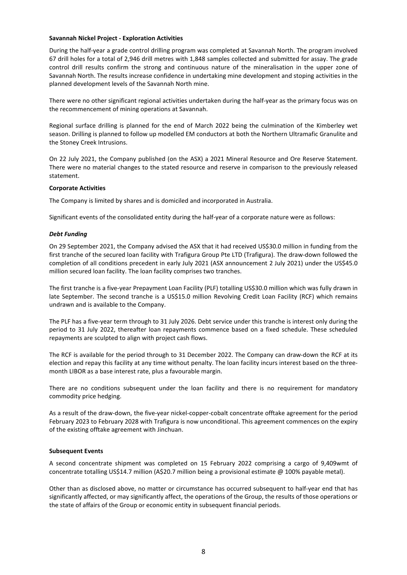#### **Savannah Nickel Project - Exploration Activities**

During the half-year a grade control drilling program was completed at Savannah North. The program involved 67 drill holes for a total of 2,946 drill metres with 1,848 samples collected and submitted for assay. The grade control drill results confirm the strong and continuous nature of the mineralisation in the upper zone of Savannah North. The results increase confidence in undertaking mine development and stoping activities in the planned development levels of the Savannah North mine.

There were no other significant regional activities undertaken during the half-year as the primary focus was on the recommencement of mining operations at Savannah.

Regional surface drilling is planned for the end of March 2022 being the culmination of the Kimberley wet season. Drilling is planned to follow up modelled EM conductors at both the Northern Ultramafic Granulite and the Stoney Creek Intrusions.

On 22 July 2021, the Company published (on the ASX) a 2021 Mineral Resource and Ore Reserve Statement. There were no material changes to the stated resource and reserve in comparison to the previously released statement.

#### **Corporate Activities**

The Company is limited by shares and is domiciled and incorporated in Australia.

Significant events of the consolidated entity during the half-year of a corporate nature were as follows:

#### *Debt Funding*

On 29 September 2021, the Company advised the ASX that it had received US\$30.0 million in funding from the first tranche of the secured loan facility with Trafigura Group Pte LTD (Trafigura). The draw-down followed the completion of all conditions precedent in early July 2021 (ASX announcement 2 July 2021) under the US\$45.0 million secured loan facility. The loan facility comprises two tranches.

The first tranche is a five-year Prepayment Loan Facility (PLF) totalling US\$30.0 million which was fully drawn in late September. The second tranche is a US\$15.0 million Revolving Credit Loan Facility (RCF) which remains undrawn and is available to the Company.

The PLF has a five-year term through to 31 July 2026. Debt service under this tranche is interest only during the period to 31 July 2022, thereafter loan repayments commence based on a fixed schedule. These scheduled repayments are sculpted to align with project cash flows.

The RCF is available for the period through to 31 December 2022. The Company can draw-down the RCF at its election and repay this facility at any time without penalty. The loan facility incurs interest based on the threemonth LIBOR as a base interest rate, plus a favourable margin.

There are no conditions subsequent under the loan facility and there is no requirement for mandatory commodity price hedging.

As a result of the draw-down, the five-year nickel-copper-cobalt concentrate offtake agreement for the period February 2023 to February 2028 with Trafigura is now unconditional. This agreement commences on the expiry of the existing offtake agreement with Jinchuan.

#### **Subsequent Events**

A second concentrate shipment was completed on 15 February 2022 comprising a cargo of 9,409wmt of concentrate totalling US\$14.7 million (A\$20.7 million being a provisional estimate @ 100% payable metal).

Other than as disclosed above, no matter or circumstance has occurred subsequent to half-year end that has significantly affected, or may significantly affect, the operations of the Group, the results of those operations or the state of affairs of the Group or economic entity in subsequent financial periods.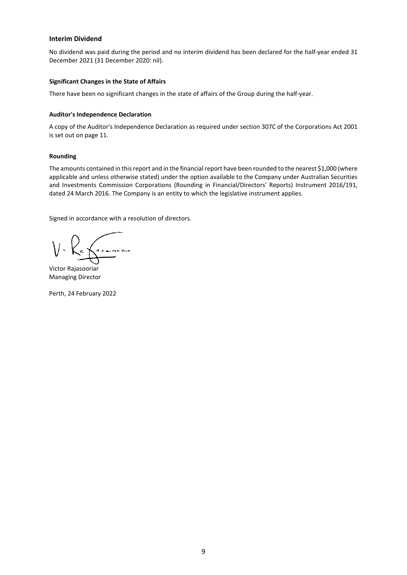#### <span id="page-8-0"></span>**Interim Dividend**

No dividend was paid during the period and no interim dividend has been declared for the half-year ended 31 December 2021 (31 December 2020: nil).

#### **Significant Changes in the State of Affairs**

There have been no significant changes in the state of affairs of the Group during the half-year.

#### **Auditor's Independence Declaration**

A copy of the Auditor's Independence Declaration as required under section 307C of the Corporations Act 2001 is set out on page 11.

### **Rounding**

The amounts contained in this report and in the financial report have been rounded to the nearest \$1,000 (where applicable and unless otherwise stated) under the option available to the Company under Australian Securities and Investments Commission Corporations (Rounding in Financial/Directors' Reports) Instrument 2016/191, dated 24 March 2016. The Company is an entity to which the legislative instrument applies.

Signed in accordance with a resolution of directors.

Victor Rajasooriar Managing Director

Perth, 24 February 2022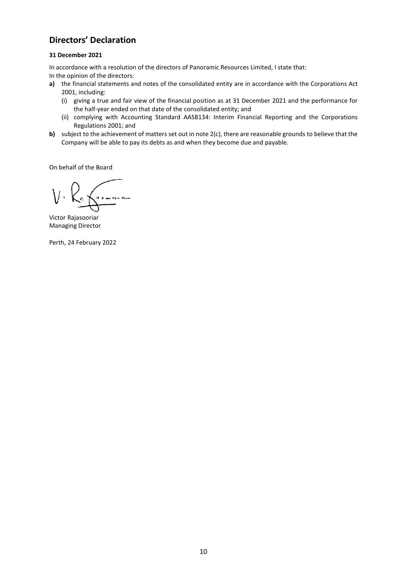# <span id="page-9-0"></span>**Directors' Declaration**

### **31 December 2021**

In accordance with a resolution of the directors of Panoramic Resources Limited, I state that:

In the opinion of the directors:

- **a)** the financial statements and notes of the consolidated entity are in accordance with the Corporations Act 2001, including:
	- (i) giving a true and fair view of the financial position as at 31 December 2021 and the performance for the half-year ended on that date of the consolidated entity; and
	- (ii) complying with Accounting Standard AASB134: Interim Financial Reporting and the Corporations Regulations 2001; and
- **b)** subject to the achievement of matters set out in note 2(c), there are reasonable grounds to believe that the Company will be able to pay its debts as and when they become due and payable.

On behalf of the Board

Victor Rajasooriar Managing Director

Perth, 24 February 2022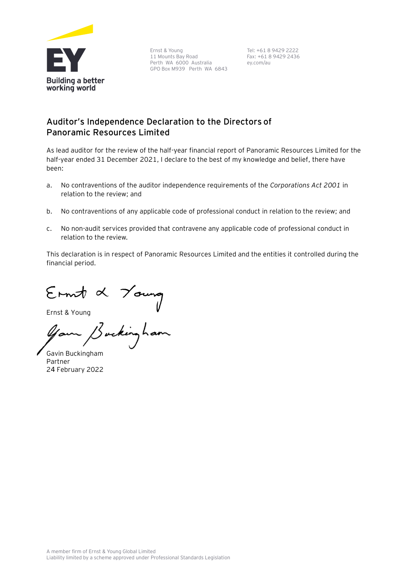

Ernst & Young 11 Mounts Bay Road Perth WA 6000 Australia GPO Box M939 Perth WA 6843

Tel: +61 8 9429 2222 Fax: +61 8 9429 2436 ey.com/au

## **Auditor's Independence Declaration to the Directors of Panoramic Resources Limited**

As lead auditor for the review of the half-year financial report of Panoramic Resources Limited for the half-year ended 31 December 2021, I declare to the best of my knowledge and belief, there have been:

- a. No contraventions of the auditor independence requirements of the *Corporations Act 2001* in relation to the review; and
- b. No contraventions of any applicable code of professional conduct in relation to the review; and
- c. No non-audit services provided that contravene any applicable code of professional conduct in relation to the review.

This declaration is in respect of Panoramic Resources Limited and the entities it controlled during the financial period.

Ernst & Young<br>Ernst & Young<br>Your Bucking ham

Gavin Buckingham Partner 24 February 2022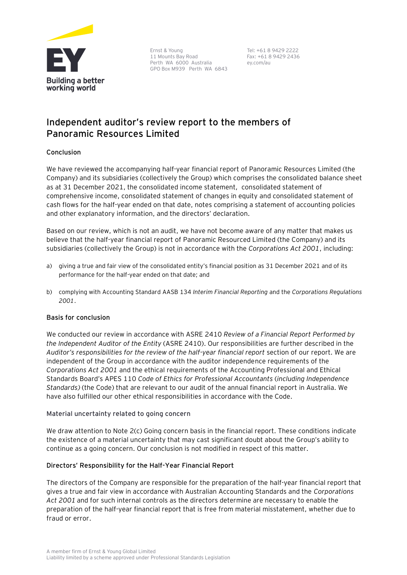

Ernst & Young 11 Mounts Bay Road Perth WA 6000 Australia GPO Box M939 Perth WA 6843

Tel: +61 8 9429 2222 Fax: +61 8 9429 2436 ey.com/au

# **Independent auditor's review report to the members of Panoramic Resources Limited**

## Conclusion

We have reviewed the accompanying half-year financial report of Panoramic Resources Limited (the Company) and its subsidiaries (collectively the Group) which comprises the consolidated balance sheet as at 31 December 2021, the consolidated income statement, consolidated statement of comprehensive income, consolidated statement of changes in equity and consolidated statement of cash flows for the half-year ended on that date, notes comprising a statement of accounting policies and other explanatory information, and the directors' declaration.

Based on our review, which is not an audit, we have not become aware of any matter that makes us believe that the half-year financial report of Panoramic Resourced Limited (the Company) and its subsidiaries (collectively the Group) is not in accordance with the *Corporations Act 2001*, including:

- a) giving a true and fair view of the consolidated entity's financial position as 31 December 2021 and of its performance for the half-year ended on that date; and
- b) complying with Accounting Standard AASB 134 *Interim Financial Reporting* and the *Corporations Regulations 2001*.

## Basis for conclusion

We conducted our review in accordance with ASRE 2410 *Review of a Financial Report Performed by the Independent Auditor of the Entity* (ASRE 2410). Our responsibilities are further described in the *Auditor's responsibilities for the review of the half-year financial report* section of our report. We are independent of the Group in accordance with the auditor independence requirements of the *Corporations Act 2001* and the ethical requirements of the Accounting Professional and Ethical Standards Board's APES 110 *Code of Ethics for Professional Accountants* (*including Independence Standards)* (the Code) that are relevant to our audit of the annual financial report in Australia. We have also fulfilled our other ethical responsibilities in accordance with the Code.

## Material uncertainty related to going concern

We draw attention to Note 2(c) Going concern basis in the financial report. These conditions indicate the existence of a material uncertainty that may cast significant doubt about the Group's ability to continue as a going concern. Our conclusion is not modified in respect of this matter.

## Directors' Responsibility for the Half-Year Financial Report

The directors of the Company are responsible for the preparation of the half-year financial report that gives a true and fair view in accordance with Australian Accounting Standards and the *Corporations Act 2001* and for such internal controls as the directors determine are necessary to enable the preparation of the half-year financial report that is free from material misstatement, whether due to fraud or error.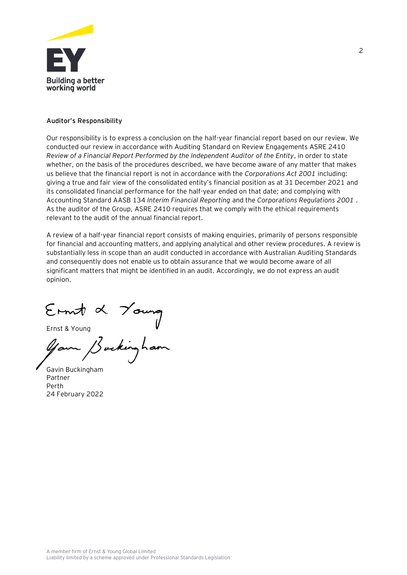

### Auditor's Responsibility

Our responsibility is to express a conclusion on the half-year financial report based on our review. We conducted our review in accordance with Auditing Standard on Review Engagements ASRE 2410 *Review of a Financial Report Performed by the Independent Auditor of the Entity*, in order to state whether, on the basis of the procedures described, we have become aware of any matter that makes us believe that the financial report is not in accordance with the *Corporations Act 2001* including: giving a true and fair view of the consolidated entity's financial position as at 31 December 2021 and its consolidated financial performance for the half-year ended on that date; and complying with Accounting Standard AASB 134 *Interim Financial Reporting* and the *Corporations Regulations 2001* . As the auditor of the Group, ASRE 2410 requires that we comply with the ethical requirements relevant to the audit of the annual financial report.

A review of a half-year financial report consists of making enquiries, primarily of persons responsible for financial and accounting matters, and applying analytical and other review procedures. A review is substantially less in scope than an audit conducted in accordance with Australian Auditing Standards and consequently does not enable us to obtain assurance that we would become aware of all significant matters that might be identified in an audit. Accordingly, we do not express an audit opinion.

Ernst & Young<br>Ernst & Young<br>Gam Buckingham

Gavin Buckingham Partner Perth 24 February 2022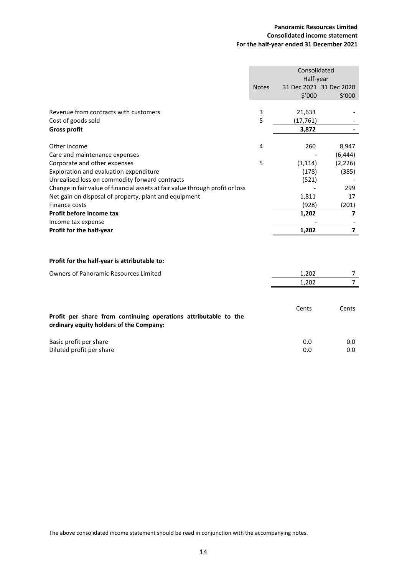## **Panoramic Resources Limited Consolidated income statement For the half-year ended 31 December 2021**

<span id="page-13-0"></span>

|                                                                               | Consolidated<br>Half-year |           |                         |
|-------------------------------------------------------------------------------|---------------------------|-----------|-------------------------|
|                                                                               | <b>Notes</b>              |           | 31 Dec 2021 31 Dec 2020 |
|                                                                               |                           | \$′000    | \$'000                  |
|                                                                               |                           |           |                         |
| Revenue from contracts with customers                                         | 3                         | 21,633    |                         |
| Cost of goods sold                                                            | 5                         | (17, 761) |                         |
| <b>Gross profit</b>                                                           |                           | 3,872     |                         |
| Other income                                                                  | 4                         | 260       | 8,947                   |
| Care and maintenance expenses                                                 |                           |           | (6, 444)                |
| Corporate and other expenses                                                  | 5                         | (3, 114)  | (2, 226)                |
| Exploration and evaluation expenditure                                        |                           | (178)     | (385)                   |
| Unrealised loss on commodity forward contracts                                |                           | (521)     |                         |
| Change in fair value of financial assets at fair value through profit or loss |                           |           | 299                     |
| Net gain on disposal of property, plant and equipment                         |                           | 1,811     | 17                      |
| Finance costs                                                                 |                           | (928)     | (201)                   |
| Profit before income tax                                                      |                           | 1,202     | $\overline{\mathbf{z}}$ |
| Income tax expense                                                            |                           |           |                         |
| Profit for the half-year                                                      |                           | 1,202     | $\overline{7}$          |
| Profit for the half-year is attributable to:                                  |                           |           |                         |
|                                                                               |                           |           |                         |
| <b>Owners of Panoramic Resources Limited</b>                                  |                           | 1,202     | 7                       |
|                                                                               |                           | 1,202     | $\overline{7}$          |
| Profit per share from continuing operations attributable to the               |                           | Cents     | Cents                   |
|                                                                               |                           |           |                         |

**ordinary equity holders of the Company:**

| Basic profit per share   | 0.0 | $0.0\,$ |
|--------------------------|-----|---------|
| Diluted profit per share | 0.0 | $0.0\,$ |

The above consolidated income statement should be read in conjunction with the accompanying notes.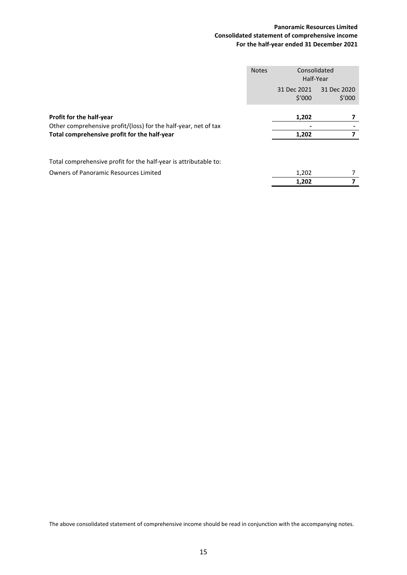## **Panoramic Resources Limited Consolidated statement of comprehensive income For the half-year ended 31 December 2021**

<span id="page-14-0"></span>

|                                                                                                                                             | <b>Notes</b> |                       | Consolidated<br>Half-Year |  |
|---------------------------------------------------------------------------------------------------------------------------------------------|--------------|-----------------------|---------------------------|--|
|                                                                                                                                             |              | 31 Dec 2021<br>\$′000 | 31 Dec 2020<br>\$′000     |  |
| Profit for the half-year<br>Other comprehensive profit/(loss) for the half-year, net of tax<br>Total comprehensive profit for the half-year |              | 1,202                 |                           |  |
|                                                                                                                                             |              | 1,202                 |                           |  |
| Total comprehensive profit for the half-year is attributable to:                                                                            |              |                       |                           |  |
| <b>Owners of Panoramic Resources Limited</b>                                                                                                |              | 1,202                 |                           |  |
|                                                                                                                                             |              | 1,202                 |                           |  |

The above consolidated statement of comprehensive income should be read in conjunction with the accompanying notes.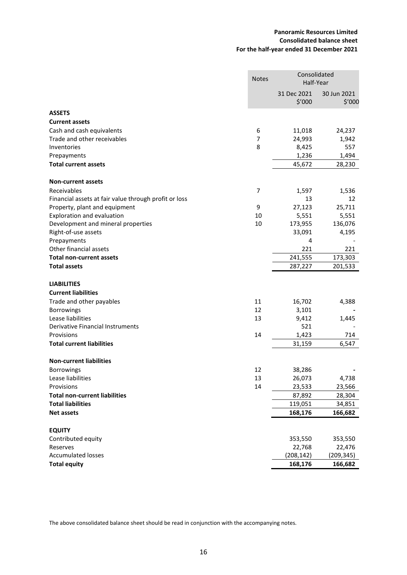## **Panoramic Resources Limited Consolidated balance sheet For the half-year ended 31 December 2021**

<span id="page-15-0"></span>

|                                                       | Consolidated<br><b>Notes</b><br>Half-Year |                       |                       |
|-------------------------------------------------------|-------------------------------------------|-----------------------|-----------------------|
|                                                       |                                           | 31 Dec 2021<br>\$'000 | 30 Jun 2021<br>\$′000 |
| <b>ASSETS</b>                                         |                                           |                       |                       |
| <b>Current assets</b>                                 |                                           |                       |                       |
| Cash and cash equivalents                             | 6                                         | 11,018                | 24,237                |
| Trade and other receivables                           | $\overline{7}$                            | 24,993                | 1,942                 |
| Inventories                                           | 8                                         | 8,425                 | 557                   |
| Prepayments                                           |                                           | 1,236                 | 1,494                 |
| <b>Total current assets</b>                           |                                           | 45,672                | 28,230                |
| <b>Non-current assets</b>                             |                                           |                       |                       |
| Receivables                                           | 7                                         | 1,597                 | 1,536                 |
| Financial assets at fair value through profit or loss |                                           | 13                    | 12                    |
| Property, plant and equipment                         | 9                                         | 27,123                | 25,711                |
| Exploration and evaluation                            | 10                                        | 5,551                 | 5,551                 |
| Development and mineral properties                    | 10                                        | 173,955               | 136,076               |
| Right-of-use assets                                   |                                           | 33,091                | 4,195                 |
| Prepayments                                           |                                           | 4                     |                       |
| Other financial assets                                |                                           | 221                   | 221                   |
| <b>Total non-current assets</b>                       |                                           | 241,555               | 173,303               |
| <b>Total assets</b>                                   |                                           | 287,227               | 201,533               |
| <b>LIABILITIES</b>                                    |                                           |                       |                       |
| <b>Current liabilities</b>                            |                                           |                       |                       |
| Trade and other payables                              | 11                                        | 16,702                | 4,388                 |
| <b>Borrowings</b>                                     | 12                                        | 3,101                 |                       |
| Lease liabilities                                     | 13                                        | 9,412                 | 1,445                 |
| Derivative Financial Instruments                      |                                           | 521                   |                       |
| Provisions                                            | 14                                        | 1,423                 | 714                   |
| <b>Total current liabilities</b>                      |                                           | 31,159                | 6,547                 |
| <b>Non-current liabilities</b>                        |                                           |                       |                       |
| <b>Borrowings</b>                                     | 12                                        | 38,286                |                       |
| Lease liabilities                                     | 13                                        | 26,073                | 4,738                 |
| Provisions                                            | 14                                        | 23,533                | 23,566                |
| <b>Total non-current liabilities</b>                  |                                           | 87,892                | 28,304                |
| <b>Total liabilities</b>                              |                                           | 119,051               | 34,851                |
| <b>Net assets</b>                                     |                                           | 168,176               | 166,682               |
| <b>EQUITY</b>                                         |                                           |                       |                       |
| Contributed equity                                    |                                           | 353,550               | 353,550               |
| Reserves                                              |                                           | 22,768                | 22,476                |
| <b>Accumulated losses</b>                             |                                           | (208, 142)            | (209, 345)            |
| <b>Total equity</b>                                   |                                           | 168,176               | 166,682               |

The above consolidated balance sheet should be read in conjunction with the accompanying notes.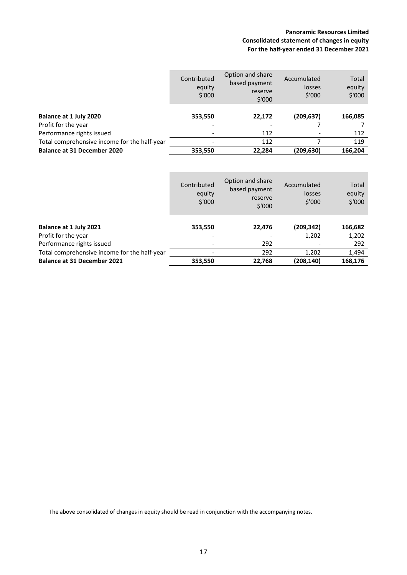## **Panoramic Resources Limited Consolidated statement of changes in equity For the half-year ended 31 December 2021**

<span id="page-16-0"></span>

|                                              | Contributed<br>equity<br>\$'000 | Option and share<br>based payment<br>reserve<br>\$'000 | Accumulated<br>losses<br>\$'000 | Total<br>equity<br>\$'000 |
|----------------------------------------------|---------------------------------|--------------------------------------------------------|---------------------------------|---------------------------|
| Balance at 1 July 2020                       | 353,550                         | 22,172                                                 | (209, 637)                      | 166,085                   |
| Profit for the year                          |                                 |                                                        |                                 |                           |
| Performance rights issued                    | -                               | 112                                                    |                                 | 112                       |
| Total comprehensive income for the half-year |                                 | 112                                                    |                                 | 119                       |
| <b>Balance at 31 December 2020</b>           | 353,550                         | 22,284                                                 | (209,630)                       | 166,204                   |

|                                              | Contributed<br>equity<br>\$'000 | Option and share<br>based payment<br>reserve<br>\$'000 | Accumulated<br>losses<br>\$'000 | Total<br>equity<br>\$'000 |
|----------------------------------------------|---------------------------------|--------------------------------------------------------|---------------------------------|---------------------------|
|                                              |                                 |                                                        |                                 |                           |
| Balance at 1 July 2021                       | 353,550                         | 22,476                                                 | (209,342)                       | 166,682                   |
| Profit for the year                          |                                 |                                                        | 1,202                           | 1,202                     |
| Performance rights issued                    |                                 | 292                                                    |                                 | 292                       |
| Total comprehensive income for the half-year |                                 | 292                                                    | 1.202                           | 1,494                     |
| <b>Balance at 31 December 2021</b>           | 353,550                         | 22,768                                                 | (208,140)                       | 168.176                   |

The above consolidated of changes in equity should be read in conjunction with the accompanying notes.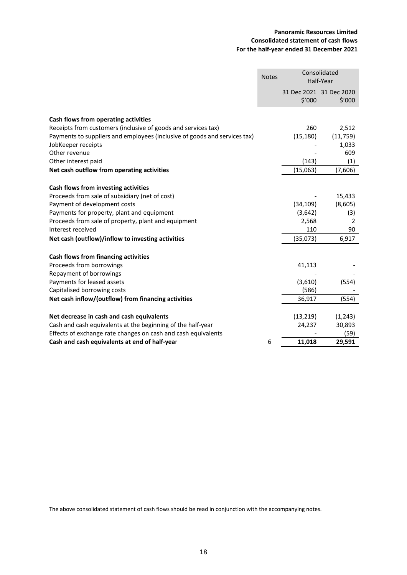## **Panoramic Resources Limited Consolidated statement of cash flows For the half-year ended 31 December 2021**

<span id="page-17-0"></span>

|                                                                           | <b>Notes</b> |           | Consolidated<br>Half-Year         |  |
|---------------------------------------------------------------------------|--------------|-----------|-----------------------------------|--|
|                                                                           |              | \$'000    | 31 Dec 2021 31 Dec 2020<br>\$′000 |  |
| Cash flows from operating activities                                      |              |           |                                   |  |
| Receipts from customers (inclusive of goods and services tax)             |              | 260       | 2,512                             |  |
| Payments to suppliers and employees (inclusive of goods and services tax) |              | (15, 180) | (11, 759)                         |  |
| JobKeeper receipts                                                        |              |           | 1,033                             |  |
| Other revenue                                                             |              |           | 609                               |  |
| Other interest paid                                                       |              | (143)     | (1)                               |  |
| Net cash outflow from operating activities                                |              | (15,063)  | (7,606)                           |  |
|                                                                           |              |           |                                   |  |
| Cash flows from investing activities                                      |              |           |                                   |  |
| Proceeds from sale of subsidiary (net of cost)                            |              |           | 15,433                            |  |
| Payment of development costs                                              |              | (34, 109) | (8,605)                           |  |
| Payments for property, plant and equipment                                |              | (3,642)   | (3)                               |  |
| Proceeds from sale of property, plant and equipment                       |              | 2,568     | 2                                 |  |
| Interest received                                                         |              | 110       | 90                                |  |
| Net cash (outflow)/inflow to investing activities                         |              | (35,073)  | 6,917                             |  |
| Cash flows from financing activities                                      |              |           |                                   |  |
| Proceeds from borrowings                                                  |              | 41,113    |                                   |  |
| Repayment of borrowings                                                   |              |           |                                   |  |
| Payments for leased assets                                                |              | (3,610)   | (554)                             |  |
| Capitalised borrowing costs                                               |              | (586)     |                                   |  |
| Net cash inflow/(outflow) from financing activities                       |              | 36,917    | (554)                             |  |
| Net decrease in cash and cash equivalents                                 |              | (13, 219) | (1, 243)                          |  |
| Cash and cash equivalents at the beginning of the half-year               |              | 24,237    | 30,893                            |  |
| Effects of exchange rate changes on cash and cash equivalents             |              |           | (59)                              |  |
| Cash and cash equivalents at end of half-year                             | 6            | 11,018    | 29,591                            |  |

The above consolidated statement of cash flows should be read in conjunction with the accompanying notes.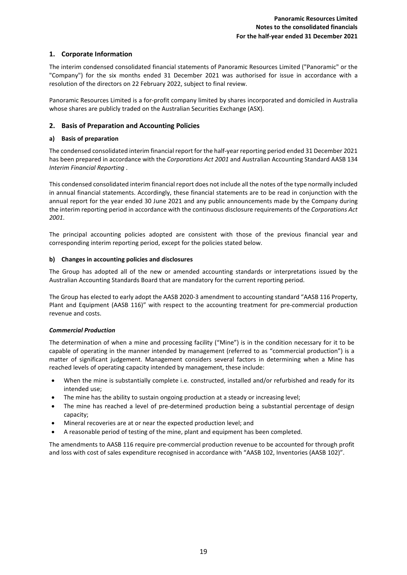## <span id="page-18-0"></span>**1. Corporate Information**

The interim condensed consolidated financial statements of Panoramic Resources Limited ("Panoramic" or the "Company") for the six months ended 31 December 2021 was authorised for issue in accordance with a resolution of the directors on 22 February 2022, subject to final review.

Panoramic Resources Limited is a for-profit company limited by shares incorporated and domiciled in Australia whose shares are publicly traded on the Australian Securities Exchange (ASX).

## **2. Basis of Preparation and Accounting Policies**

### **a) Basis of preparation**

The condensed consolidated interim financial report for the half-year reporting period ended 31 December 2021 has been prepared in accordance with the *Corporations Act 2001* and Australian Accounting Standard AASB 134 *Interim Financial Reporting* .

This condensed consolidated interim financial report does not include all the notes of the type normally included in annual financial statements. Accordingly, these financial statements are to be read in conjunction with the annual report for the year ended 30 June 2021 and any public announcements made by the Company during the interim reporting period in accordance with the continuous disclosure requirements of the *Corporations Act 2001*.

The principal accounting policies adopted are consistent with those of the previous financial year and corresponding interim reporting period, except for the policies stated below.

### **b) Changes in accounting policies and disclosures**

The Group has adopted all of the new or amended accounting standards or interpretations issued by the Australian Accounting Standards Board that are mandatory for the current reporting period.

The Group has elected to early adopt the AASB 2020-3 amendment to accounting standard "AASB 116 Property, Plant and Equipment (AASB 116)" with respect to the accounting treatment for pre-commercial production revenue and costs.

#### *Commercial Production*

The determination of when a mine and processing facility ("Mine") is in the condition necessary for it to be capable of operating in the manner intended by management (referred to as "commercial production") is a matter of significant judgement. Management considers several factors in determining when a Mine has reached levels of operating capacity intended by management, these include:

- When the mine is substantially complete i.e. constructed, installed and/or refurbished and ready for its intended use;
- The mine has the ability to sustain ongoing production at a steady or increasing level;
- The mine has reached a level of pre-determined production being a substantial percentage of design capacity;
- Mineral recoveries are at or near the expected production level; and
- A reasonable period of testing of the mine, plant and equipment has been completed.

The amendments to AASB 116 require pre-commercial production revenue to be accounted for through profit and loss with cost of sales expenditure recognised in accordance with "AASB 102, Inventories (AASB 102)".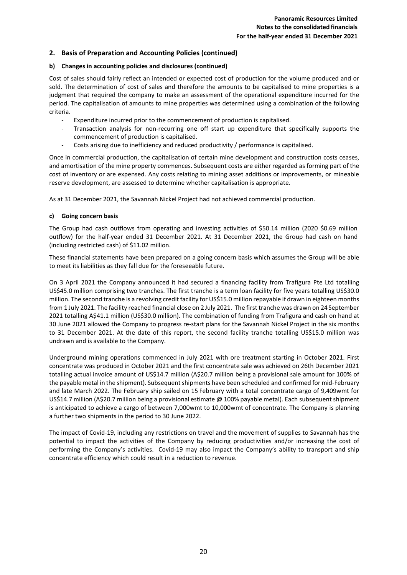## **2. Basis of Preparation and Accounting Policies (continued)**

#### **b) Changes in accounting policies and disclosures (continued)**

Cost of sales should fairly reflect an intended or expected cost of production for the volume produced and or sold. The determination of cost of sales and therefore the amounts to be capitalised to mine properties is a judgment that required the company to make an assessment of the operational expenditure incurred for the period. The capitalisation of amounts to mine properties was determined using a combination of the following criteria.

- Expenditure incurred prior to the commencement of production is capitalised.
- Transaction analysis for non-recurring one off start up expenditure that specifically supports the commencement of production is capitalised.
- Costs arising due to inefficiency and reduced productivity / performance is capitalised.

Once in commercial production, the capitalisation of certain mine development and construction costs ceases, and amortisation of the mine property commences. Subsequent costs are either regarded as forming part of the cost of inventory or are expensed. Any costs relating to mining asset additions or improvements, or mineable reserve development, are assessed to determine whether capitalisation is appropriate.

As at 31 December 2021, the Savannah Nickel Project had not achieved commercial production.

#### **c) Going concern basis**

The Group had cash outflows from operating and investing activities of \$50.14 million (2020 \$0.69 million outflow) for the half-year ended 31 December 2021. At 31 December 2021, the Group had cash on hand (including restricted cash) of \$11.02 million.

These financial statements have been prepared on a going concern basis which assumes the Group will be able to meet its liabilities as they fall due for the foreseeable future.

On 3 April 2021 the Company announced it had secured a financing facility from Trafigura Pte Ltd totalling US\$45.0 million comprising two tranches. The first tranche is a term loan facility for five years totalling US\$30.0 million. The second tranche is a revolving credit facility for US\$15.0 million repayable if drawn in eighteen months from 1 July 2021. The facility reached financial close on 2July 2021. The first tranche was drawn on 24September 2021 totalling A\$41.1 million (US\$30.0 million). The combination of funding from Trafigura and cash on hand at 30 June 2021 allowed the Company to progress re-start plans for the Savannah Nickel Project in the six months to 31 December 2021. At the date of this report, the second facility tranche totalling US\$15.0 million was undrawn and is available to the Company.

Underground mining operations commenced in July 2021 with ore treatment starting in October 2021. First concentrate was produced in October 2021 and the first concentrate sale was achieved on 26th December 2021 totalling actual invoice amount of US\$14.7 million (A\$20.7 million being a provisional sale amount for 100% of the payable metal in the shipment). Subsequent shipments have been scheduled and confirmed for mid-February and late March 2022. The February ship sailed on 15 February with a total concentrate cargo of 9,409wmt for US\$14.7 million (A\$20.7 million being a provisional estimate @ 100% payable metal). Each subsequent shipment is anticipated to achieve a cargo of between 7,000wmt to 10,000wmt of concentrate. The Company is planning a further two shipments in the period to 30 June 2022.

The impact of Covid-19, including any restrictions on travel and the movement of supplies to Savannah has the potential to impact the activities of the Company by reducing productivities and/or increasing the cost of performing the Company's activities. Covid-19 may also impact the Company's ability to transport and ship concentrate efficiency which could result in a reduction to revenue.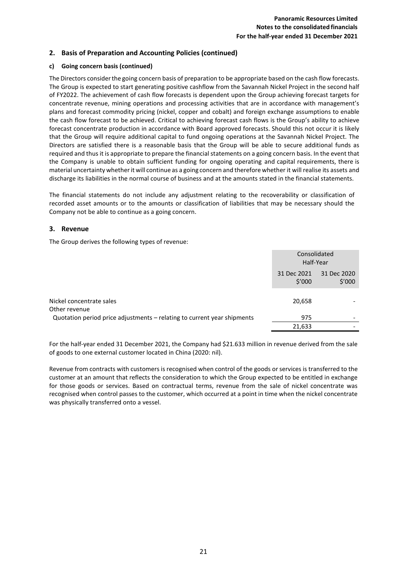## **2. Basis of Preparation and Accounting Policies (continued)**

### **c) Going concern basis (continued)**

The Directors consider the going concern basis of preparation to be appropriate based on the cash flow forecasts. The Group is expected to start generating positive cashflow from the Savannah Nickel Project in the second half of FY2022. The achievement of cash flow forecasts is dependent upon the Group achieving forecast targets for concentrate revenue, mining operations and processing activities that are in accordance with management's plans and forecast commodity pricing (nickel, copper and cobalt) and foreign exchange assumptions to enable the cash flow forecast to be achieved. Critical to achieving forecast cash flows is the Group's ability to achieve forecast concentrate production in accordance with Board approved forecasts. Should this not occur it is likely that the Group will require additional capital to fund ongoing operations at the Savannah Nickel Project. The Directors are satisfied there is a reasonable basis that the Group will be able to secure additional funds as required and thus it is appropriate to prepare the financial statements on a going concern basis. In the event that the Company is unable to obtain sufficient funding for ongoing operating and capital requirements, there is material uncertainty whetherit will continue as a going concern and therefore whether it will realise its assets and discharge its liabilities in the normal course of business and at the amounts stated in the financial statements.

The financial statements do not include any adjustment relating to the recoverability or classification of recorded asset amounts or to the amounts or classification of liabilities that may be necessary should the Company not be able to continue as a going concern.

### **3. Revenue**

The Group derives the following types of revenue:

|                                                                         | Consolidated<br>Half-Year |                       |
|-------------------------------------------------------------------------|---------------------------|-----------------------|
|                                                                         | 31 Dec 2021<br>\$′000     | 31 Dec 2020<br>\$′000 |
| Nickel concentrate sales<br>Other revenue                               | 20,658                    |                       |
| Quotation period price adjustments - relating to current year shipments | 975                       | -                     |
|                                                                         | 21,633                    | -                     |

For the half-year ended 31 December 2021, the Company had \$21.633 million in revenue derived from the sale of goods to one external customer located in China (2020: nil).

Revenue from contracts with customers is recognised when control of the goods or services is transferred to the customer at an amount that reflects the consideration to which the Group expected to be entitled in exchange for those goods or services. Based on contractual terms, revenue from the sale of nickel concentrate was recognised when control passes to the customer, which occurred at a point in time when the nickel concentrate was physically transferred onto a vessel.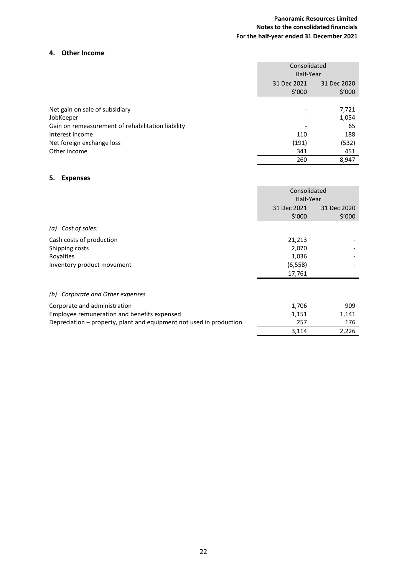## **Panoramic Resources Limited Notes to the consolidated financials For the half-year ended 31 December 2021**

## **4. Other Income**

|                                                   |             | Consolidated<br>Half-Year       |  |
|---------------------------------------------------|-------------|---------------------------------|--|
|                                                   | 31 Dec 2021 | 31 Dec 2020<br>\$′000<br>\$′000 |  |
| Net gain on sale of subsidiary                    |             | 7,721                           |  |
| JobKeeper                                         |             | 1,054                           |  |
| Gain on remeasurement of rehabilitation liability |             | 65                              |  |
| Interest income                                   |             | 110<br>188                      |  |
| Net foreign exchange loss                         |             | (191)<br>(532)                  |  |
| Other income                                      |             | 341<br>451                      |  |
|                                                   |             | 8,947<br>260                    |  |

## **5. Expenses**

|                                     | Consolidated          |                       |
|-------------------------------------|-----------------------|-----------------------|
|                                     | Half-Year             |                       |
|                                     | 31 Dec 2021<br>\$′000 | 31 Dec 2020<br>\$′000 |
| (a) Cost of sales:                  |                       |                       |
| Cash costs of production            | 21,213                |                       |
| Shipping costs                      | 2,070                 |                       |
| Royalties                           | 1,036                 |                       |
| Inventory product movement          | (6, 558)              |                       |
|                                     | 17,761                |                       |
| Corporate and Other expenses<br>(b) |                       |                       |

| Corporate and administration                                        | 1.706 | 909   |
|---------------------------------------------------------------------|-------|-------|
| Employee remuneration and benefits expensed                         | 1.151 | 1.141 |
| Depreciation – property, plant and equipment not used in production | 257   | 176   |
|                                                                     | 3.114 | 2.226 |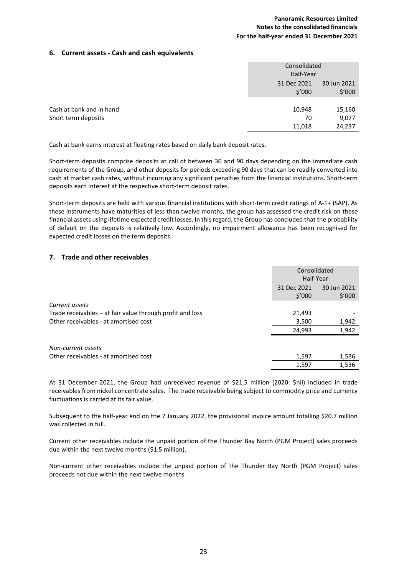## **Panoramic Resources Limited Notes to the consolidated financials For the half-year ended 31 December 2021**

### **6. Current assets - Cash and cash equivalents**

|                          | Consolidated<br>Half-Year |                       |
|--------------------------|---------------------------|-----------------------|
|                          | 31 Dec 2021<br>\$′000     | 30 Jun 2021<br>\$′000 |
|                          |                           |                       |
| Cash at bank and in hand | 10,948                    | 15,160                |
| Short term deposits      | 70                        | 9,077                 |
|                          | 11,018                    | 24,237                |

Cash at bank earns interest at floating rates based on daily bank deposit rates.

Short-term deposits comprise deposits at call of between 30 and 90 days depending on the immediate cash requirements of the Group, and other deposits for periods exceeding 90 days that can be readily converted into cash at market cash rates, without incurring any significant penalties from the financial institutions. Short-term deposits earn interest at the respective short-term deposit rates.

Short-term deposits are held with various financial institutions with short-term credit ratings of A-1+ (SAP). As these instruments have maturities of less than twelve months, the group has assessed the credit risk on these financial assets using lifetime expected credit losses. In this regard, the Group has concluded that the probability of default on the deposits is relatively low. Accordingly, no impairment allowance has been recognised for expected credit losses on the term deposits.

### **7. Trade and other receivables**

|                                                           |                 | Consolidated<br>Half-Year |  |
|-----------------------------------------------------------|-----------------|---------------------------|--|
|                                                           | 31 Dec 2021     | 30 Jun 2021               |  |
|                                                           | $$^{\prime}000$ | \$′000                    |  |
| Current assets                                            |                 |                           |  |
| Trade receivables – at fair value through profit and loss | 21,493          |                           |  |
| Other receivables - at amortised cost                     | 3,500           | 1,942                     |  |
|                                                           | 24,993          | 1,942                     |  |
| Non-current assets                                        |                 |                           |  |
| Other receivables - at amortised cost                     | 1,597           | 1,536                     |  |
|                                                           | 1,597           | 1,536                     |  |

At 31 December 2021, the Group had unreceived revenue of \$21.5 million (2020: \$nil) included in trade receivables from nickel concentrate sales. The trade receivable being subject to commodity price and currency fluctuations is carried at its fair value.

Subsequent to the half-year end on the 7 January 2022, the provisional invoice amount totalling \$20.7 million was collected in full.

Current other receivables include the unpaid portion of the Thunder Bay North (PGM Project) sales proceeds due within the next twelve months (\$1.5 million).

Non-current other receivables include the unpaid portion of the Thunder Bay North (PGM Project) sales proceeds not due within the next twelve months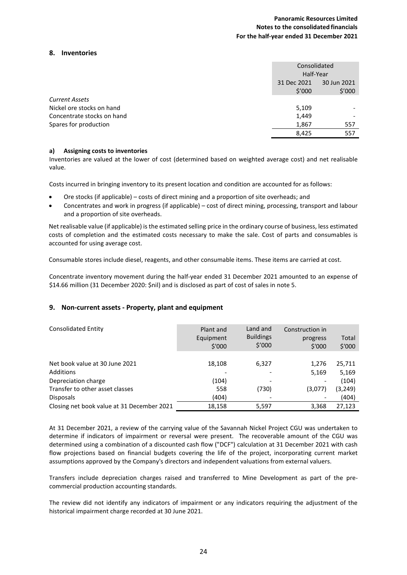### **8. Inventories**

|                            |             | Consolidated<br>Half-Year |  |
|----------------------------|-------------|---------------------------|--|
|                            | 31 Dec 2021 | 30 Jun 2021               |  |
|                            | \$′000      | \$′000                    |  |
| <b>Current Assets</b>      |             |                           |  |
| Nickel ore stocks on hand  | 5,109       |                           |  |
| Concentrate stocks on hand | 1,449       |                           |  |
| Spares for production      | 1,867       | 557                       |  |
|                            | 8,425       | 557                       |  |
|                            |             |                           |  |

### **a) Assigning costs to inventories**

Inventories are valued at the lower of cost (determined based on weighted average cost) and net realisable value.

Costs incurred in bringing inventory to its present location and condition are accounted for as follows:

- Ore stocks (if applicable) costs of direct mining and a proportion of site overheads; and
- Concentrates and work in progress (if applicable) cost of direct mining, processing, transport and labour and a proportion of site overheads.

Net realisable value (if applicable) is the estimated selling price in the ordinary course of business, less estimated costs of completion and the estimated costs necessary to make the sale. Cost of parts and consumables is accounted for using average cost.

Consumable stores include diesel, reagents, and other consumable items. These items are carried at cost.

Concentrate inventory movement during the half-year ended 31 December 2021 amounted to an expense of \$14.66 million (31 December 2020: \$nil) and is disclosed as part of cost of sales in note 5.

## **9. Non-current assets - Property, plant and equipment**

| <b>Consolidated Entity</b>                  | Plant and<br>Equipment<br>\$'000 | Land and<br><b>Buildings</b><br>\$′000 | Construction in<br>progress<br>\$'000 | Total<br>\$'000 |
|---------------------------------------------|----------------------------------|----------------------------------------|---------------------------------------|-----------------|
| Net book value at 30 June 2021<br>Additions | 18,108                           | 6,327                                  | 1.276<br>5,169                        | 25,711<br>5,169 |
| Depreciation charge                         | (104)                            |                                        | ٠                                     | (104)           |
| Transfer to other asset classes             | 558                              | (730)                                  | (3,077)                               | (3,249)         |
| <b>Disposals</b>                            | (404)                            |                                        |                                       | (404)           |
| Closing net book value at 31 December 2021  | 18,158                           | 5,597                                  | 3,368                                 | 27.123          |

At 31 December 2021, a review of the carrying value of the Savannah Nickel Project CGU was undertaken to determine if indicators of impairment or reversal were present. The recoverable amount of the CGU was determined using a combination of a discounted cash flow ("DCF") calculation at 31 December 2021 with cash flow projections based on financial budgets covering the life of the project, incorporating current market assumptions approved by the Company's directors and independent valuations from external valuers.

Transfers include depreciation charges raised and transferred to Mine Development as part of the precommercial production accounting standards.

The review did not identify any indicators of impairment or any indicators requiring the adjustment of the historical impairment charge recorded at 30 June 2021.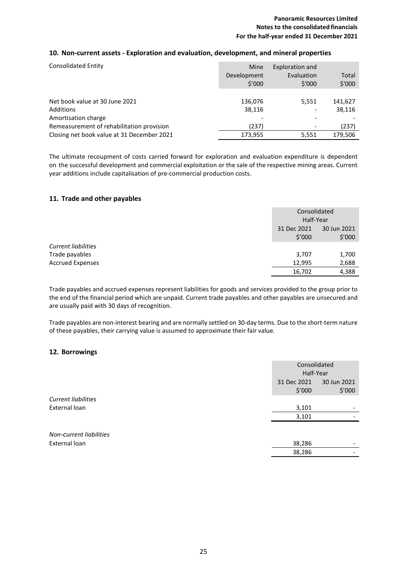## **10. Non-current assets - Exploration and evaluation, development, and mineral properties**

| <b>Consolidated Entity</b>                 | Mine<br>Development<br>\$'000 | Exploration and<br>Evaluation<br>\$'000 | Total<br>\$'000 |
|--------------------------------------------|-------------------------------|-----------------------------------------|-----------------|
| Net book value at 30 June 2021             | 136,076                       | 5,551                                   | 141,627         |
| Additions                                  | 38.116                        |                                         | 38,116          |
| Amortisation charge                        |                               |                                         |                 |
| Remeasurement of rehabilitation provision  | (237)                         | -                                       | (237)           |
| Closing net book value at 31 December 2021 | 173,955                       | 5,551                                   | 179.506         |

The ultimate recoupment of costs carried forward for exploration and evaluation expenditure is dependent on the successful development and commercial exploitation or the sale of the respective mining areas. Current year additions include capitalisation of pre-commercial production costs.

## **11. Trade and other payables**

|                            | Consolidated<br>Half-Year                      |       |
|----------------------------|------------------------------------------------|-------|
|                            | 31 Dec 2021<br>30 Jun 2021<br>\$′000<br>\$′000 |       |
| <b>Current liabilities</b> |                                                |       |
| Trade payables             | 3,707                                          | 1,700 |
| <b>Accrued Expenses</b>    | 12,995                                         | 2,688 |
|                            | 16,702                                         | 4,388 |

Trade payables and accrued expenses represent liabilities for goods and services provided to the group prior to the end of the financial period which are unpaid. Current trade payables and other payables are unsecured and are usually paid with 30 days of recognition.

Trade payables are non-interest bearing and are normally settled on 30-day terms. Due to the short-term nature of these payables, their carrying value is assumed to approximate their fair value.

## **12. Borrowings**

|                         | Consolidated<br>Half-Year |                       |
|-------------------------|---------------------------|-----------------------|
|                         | 31 Dec 2021<br>\$′000     | 30 Jun 2021<br>\$′000 |
| Current liabilities     |                           |                       |
| External loan           | 3,101                     | -                     |
|                         | 3,101                     |                       |
| Non-Current liabilities |                           |                       |
| External loan           | 38,286                    |                       |
|                         | 38,286                    |                       |
|                         |                           |                       |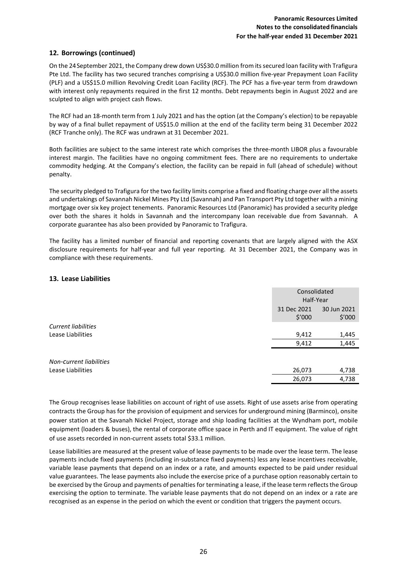## **12. Borrowings (continued)**

On the 24September 2021, the Company drew down US\$30.0 million from its secured loan facility with Trafigura Pte Ltd. The facility has two secured tranches comprising a US\$30.0 million five-year Prepayment Loan Facility (PLF) and a US\$15.0 million Revolving Credit Loan Facility (RCF). The PCF has a five-year term from drawdown with interest only repayments required in the first 12 months. Debt repayments begin in August 2022 and are sculpted to align with project cash flows.

The RCF had an 18-month term from 1 July 2021 and has the option (at the Company's election) to be repayable by way of a final bullet repayment of US\$15.0 million at the end of the facility term being 31 December 2022 (RCF Tranche only). The RCF was undrawn at 31 December 2021.

Both facilities are subject to the same interest rate which comprises the three-month LIBOR plus a favourable interest margin. The facilities have no ongoing commitment fees. There are no requirements to undertake commodity hedging. At the Company's election, the facility can be repaid in full (ahead of schedule) without penalty.

The security pledged to Trafigura for the two facility limits comprise a fixed and floating charge over all the assets and undertakings of Savannah Nickel Mines Pty Ltd (Savannah) and Pan Transport Pty Ltd together with a mining mortgage over six key project tenements. Panoramic Resources Ltd (Panoramic) has provided a security pledge over both the shares it holds in Savannah and the intercompany loan receivable due from Savannah. A corporate guarantee has also been provided by Panoramic to Trafigura.

The facility has a limited number of financial and reporting covenants that are largely aligned with the ASX disclosure requirements for half-year and full year reporting. At 31 December 2021, the Company was in compliance with these requirements.

### **13. Lease Liabilities**

|                            | Consolidated |             |
|----------------------------|--------------|-------------|
|                            | Half-Year    |             |
|                            | 31 Dec 2021  | 30 Jun 2021 |
|                            | \$′000       | \$′000      |
| <b>Current liabilities</b> |              |             |
| Lease Liabilities          | 9,412        | 1,445       |
|                            | 9,412        | 1,445       |
|                            |              |             |
| Non-current liabilities    |              |             |
| Lease Liabilities          | 26,073       | 4,738       |
|                            | 26,073       | 4,738       |

The Group recognises lease liabilities on account of right of use assets. Right of use assets arise from operating contracts the Group has for the provision of equipment and services for underground mining (Barminco), onsite power station at the Savanah Nickel Project, storage and ship loading facilities at the Wyndham port, mobile equipment (loaders & buses), the rental of corporate office space in Perth and IT equipment. The value of right of use assets recorded in non-current assets total \$33.1 million.

Lease liabilities are measured at the present value of lease payments to be made over the lease term. The lease payments include fixed payments (including in-substance fixed payments) less any lease incentives receivable, variable lease payments that depend on an index or a rate, and amounts expected to be paid under residual value guarantees. The lease payments also include the exercise price of a purchase option reasonably certain to be exercised by the Group and payments of penalties for terminating a lease, if the lease term reflects the Group exercising the option to terminate. The variable lease payments that do not depend on an index or a rate are recognised as an expense in the period on which the event or condition that triggers the payment occurs.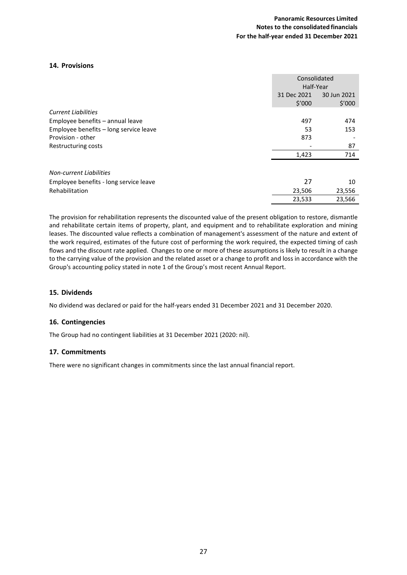### **14. Provisions**

|                                        |             | Consolidated<br>Half-Year |  |
|----------------------------------------|-------------|---------------------------|--|
|                                        | 31 Dec 2021 | 30 Jun 2021               |  |
|                                        | \$′000      | \$′000                    |  |
| <b>Current Liabilities</b>             |             |                           |  |
| Employee benefits - annual leave       | 497         | 474                       |  |
| Employee benefits - long service leave | 53          | 153                       |  |
| Provision - other                      | 873         |                           |  |
| Restructuring costs                    |             | 87                        |  |
|                                        | 1,423       | 714                       |  |
| <b>Non-current Liabilities</b>         |             |                           |  |
| Employee benefits - long service leave | 27          | 10                        |  |
| Rehabilitation                         | 23,506      | 23,556                    |  |
|                                        | 23,533      | 23,566                    |  |

The provision for rehabilitation represents the discounted value of the present obligation to restore, dismantle and rehabilitate certain items of property, plant, and equipment and to rehabilitate exploration and mining leases. The discounted value reflects a combination of management's assessment of the nature and extent of the work required, estimates of the future cost of performing the work required, the expected timing of cash flows and the discount rate applied. Changes to one or more of these assumptions is likely to result in a change to the carrying value of the provision and the related asset or a change to profit and loss in accordance with the Group's accounting policy stated in note 1 of the Group's most recent Annual Report.

## **15. Dividends**

No dividend was declared or paid for the half-years ended 31 December 2021 and 31 December 2020.

#### **16. Contingencies**

The Group had no contingent liabilities at 31 December 2021 (2020: nil).

#### **17. Commitments**

There were no significant changes in commitments since the last annual financial report.